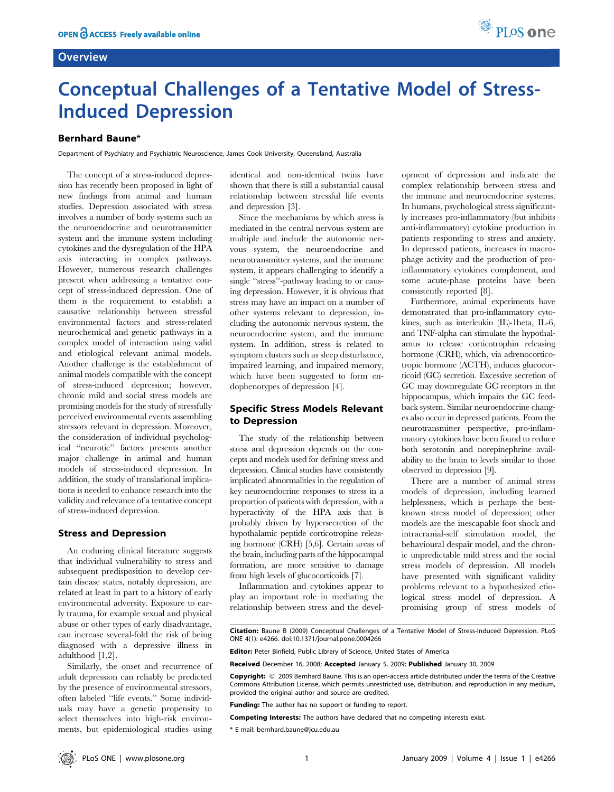# **Overview**



# Conceptual Challenges of a Tentative Model of Stress-Induced Depression

# Bernhard Baune\*

Department of Psychiatry and Psychiatric Neuroscience, James Cook University, Queensland, Australia

The concept of a stress-induced depression has recently been proposed in light of new findings from animal and human studies. Depression associated with stress involves a number of body systems such as the neuroendocrine and neurotransmitter system and the immune system including cytokines and the dysregulation of the HPA axis interacting in complex pathways. However, numerous research challenges present when addressing a tentative concept of stress-induced depression. One of them is the requirement to establish a causative relationship between stressful environmental factors and stress-related neurochemical and genetic pathways in a complex model of interaction using valid and etiological relevant animal models. Another challenge is the establishment of animal models compatible with the concept of stress-induced depression; however, chronic mild and social stress models are promising models for the study of stressfully perceived environmental events assembling stressors relevant in depression. Moreover, the consideration of individual psychological ''neurotic'' factors presents another major challenge in animal and human models of stress-induced depression. In addition, the study of translational implications is needed to enhance research into the validity and relevance of a tentative concept of stress-induced depression.

#### Stress and Depression

An enduring clinical literature suggests that individual vulnerability to stress and subsequent predisposition to develop certain disease states, notably depression, are related at least in part to a history of early environmental adversity. Exposure to early trauma, for example sexual and physical abuse or other types of early disadvantage, can increase several-fold the risk of being diagnosed with a depressive illness in adulthood [1,2].

Similarly, the onset and recurrence of adult depression can reliably be predicted by the presence of environmental stressors, often labeled ''life events.'' Some individuals may have a genetic propensity to select themselves into high-risk environments, but epidemiological studies using

identical and non-identical twins have shown that there is still a substantial causal relationship between stressful life events and depression [3].

Since the mechanisms by which stress is mediated in the central nervous system are multiple and include the autonomic nervous system, the neuroendocrine and neurotransmitter systems, and the immune system, it appears challenging to identify a single ''stress''-pathway leading to or causing depression. However, it is obvious that stress may have an impact on a number of other systems relevant to depression, including the autonomic nervous system, the neuroendocrine system, and the immune system. In addition, stress is related to symptom clusters such as sleep disturbance, impaired learning, and impaired memory, which have been suggested to form endophenotypes of depression [4].

## Specific Stress Models Relevant to Depression

The study of the relationship between stress and depression depends on the concepts and models used for defining stress and depression. Clinical studies have consistently implicated abnormalities in the regulation of key neuroendocrine responses to stress in a proportion of patients with depression, with a hyperactivity of the HPA axis that is probably driven by hypersecretion of the hypothalamic peptide corticotropine releasing hormone (CRH) [5,6]. Certain areas of the brain, including parts of the hippocampal formation, are more sensitive to damage from high levels of glucocorticoids [7].

Inflammation and cytokines appear to play an important role in mediating the relationship between stress and the development of depression and indicate the complex relationship between stress and the immune and neuroendocrine systems. In humans, psychological stress significantly increases pro-inflammatory (but inhibits anti-inflammatory) cytokine production in patients responding to stress and anxiety. In depressed patients, increases in macrophage activity and the production of proinflammatory cytokines complement, and some acute-phase proteins have been consistently reported [8].

Furthermore, animal experiments have demonstrated that pro-inflammatory cytokines, such as interleukin (IL)-1beta, IL-6, and TNF-alpha can stimulate the hypothalamus to release corticotrophin releasing hormone (CRH), which, via adrenocorticotropic hormone (ACTH), induces glucocorticoid (GC) secretion. Excessive secretion of GC may downregulate GC receptors in the hippocampus, which impairs the GC feedback system. Similar neuroendocrine changes also occur in depressed patients. From the neurotransmitter perspective, pro-inflammatory cytokines have been found to reduce both serotonin and norepinephrine availability to the brain to levels similar to those observed in depression [9].

There are a number of animal stress models of depression, including learned helplessness, which is perhaps the bestknown stress model of depression; other models are the inescapable foot shock and intracranial-self stimulation model, the behavioural despair model, and the chronic unpredictable mild stress and the social stress models of depression. All models have presented with significant validity problems relevant to a hypothesized etiological stress model of depression. A promising group of stress models of

Citation: Baune B (2009) Conceptual Challenges of a Tentative Model of Stress-Induced Depression. PLoS ONE 4(1): e4266. doi:10.1371/journal.pone.0004266

Editor: Peter Binfield, Public Library of Science, United States of America

Received December 16, 2008; Accepted January 5, 2009; Published January 30, 2009

Copyright:  $\circ$  2009 Bernhard Baune. This is an open-access article distributed under the terms of the Creative Commons Attribution License, which permits unrestricted use, distribution, and reproduction in any medium, provided the original author and source are credited.

Funding: The author has no support or funding to report.

Competing Interests: The authors have declared that no competing interests exist.

\* E-mail: bernhard.baune@jcu.edu.au